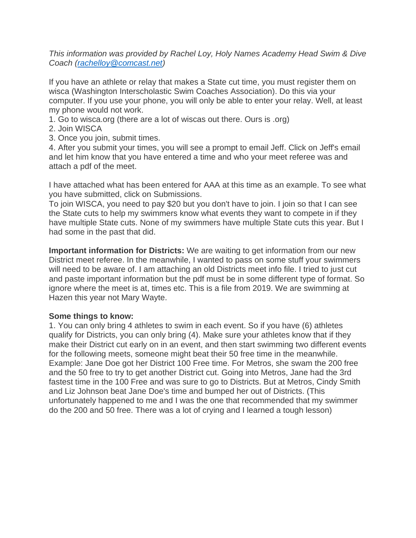*This information was provided by Rachel Loy, Holy Names Academy Head Swim & Dive Coach [\(rachelloy@comcast.net\)](mailto:rachelloy@comcast.net)* 

If you have an athlete or relay that makes a State cut time, you must register them on wisca (Washington Interscholastic Swim Coaches Association). Do this via your computer. If you use your phone, you will only be able to enter your relay. Well, at least my phone would not work.

- 1. Go to wisca.org (there are a lot of wiscas out there. Ours is .org)
- 2. Join WISCA
- 3. Once you join, submit times.

4. After you submit your times, you will see a prompt to email Jeff. Click on Jeff's email and let him know that you have entered a time and who your meet referee was and attach a pdf of the meet.

I have attached what has been entered for AAA at this time as an example. To see what you have submitted, click on Submissions.

To join WISCA, you need to pay \$20 but you don't have to join. I join so that I can see the State cuts to help my swimmers know what events they want to compete in if they have multiple State cuts. None of my swimmers have multiple State cuts this year. But I had some in the past that did.

**Important information for Districts:** We are waiting to get information from our new District meet referee. In the meanwhile, I wanted to pass on some stuff your swimmers will need to be aware of. I am attaching an old Districts meet info file. I tried to just cut and paste important information but the pdf must be in some different type of format. So ignore where the meet is at, times etc. This is a file from 2019. We are swimming at Hazen this year not Mary Wayte.

## **Some things to know:**

1. You can only bring 4 athletes to swim in each event. So if you have (6) athletes qualify for Districts, you can only bring (4). Make sure your athletes know that if they make their District cut early on in an event, and then start swimming two different events for the following meets, someone might beat their 50 free time in the meanwhile. Example: Jane Doe got her District 100 Free time. For Metros, she swam the 200 free and the 50 free to try to get another District cut. Going into Metros, Jane had the 3rd fastest time in the 100 Free and was sure to go to Districts. But at Metros, Cindy Smith and Liz Johnson beat Jane Doe's time and bumped her out of Districts. (This unfortunately happened to me and I was the one that recommended that my swimmer do the 200 and 50 free. There was a lot of crying and I learned a tough lesson)